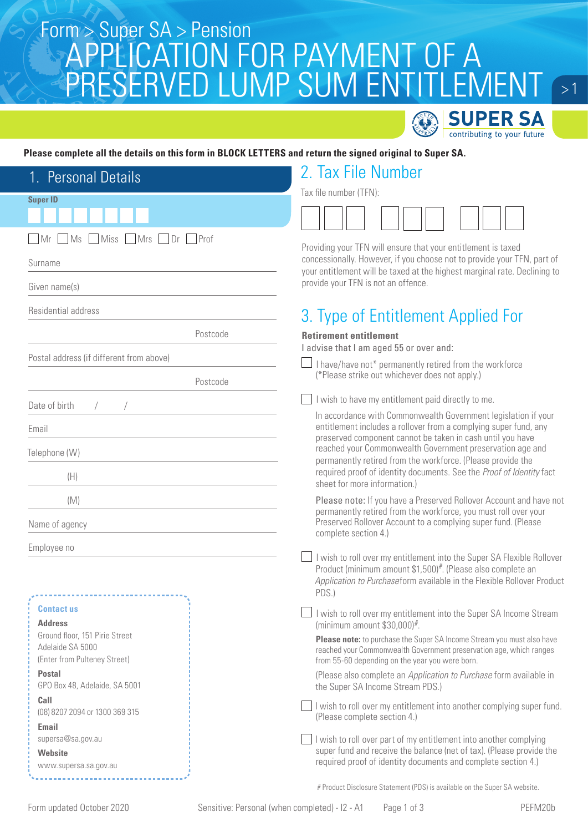### Super SA > Pension<br>CONTINUATION FOR DAVA AFNIT OF A APPLICATION FOR PAYMENT OF A PRESERVED LUMP SUM ENTITLEMENT



 $\sim$  1

### **Please complete all the details on this form in BLOCK LETTERS and return the signed original to Super SA.**

| 1. Personal Details                              | 2. Tax File Number                                                                                                                                                                               |  |  |
|--------------------------------------------------|--------------------------------------------------------------------------------------------------------------------------------------------------------------------------------------------------|--|--|
|                                                  | Tax file number (TFN):                                                                                                                                                                           |  |  |
| <b>Super ID</b>                                  |                                                                                                                                                                                                  |  |  |
| Miss Mrs Dr<br>MS<br>Prof<br>- I Mr              | Providing your TFN will ensure that your entitlement is taxed                                                                                                                                    |  |  |
| Surname                                          | concessionally. However, if you choose not to provide your TFN, part of<br>your entitlement will be taxed at the highest marginal rate. Declining to                                             |  |  |
| Given name(s)                                    | provide your TFN is not an offence.                                                                                                                                                              |  |  |
| Residential address                              | 3. Type of Entitlement Applied For                                                                                                                                                               |  |  |
| Postcode                                         | <b>Retirement entitlement</b><br>I advise that I am aged 55 or over and:                                                                                                                         |  |  |
| Postal address (if different from above)         | $\perp$ I have/have not* permanently retired from the workforce                                                                                                                                  |  |  |
| Postcode                                         | (*Please strike out whichever does not apply.)                                                                                                                                                   |  |  |
| Date of birth                                    | I wish to have my entitlement paid directly to me.                                                                                                                                               |  |  |
| Email                                            | In accordance with Commonwealth Government legislation if your<br>entitlement includes a rollover from a complying super fund, any<br>preserved component cannot be taken in cash until you have |  |  |
| Telephone (W)                                    | reached your Commonwealth Government preservation age and                                                                                                                                        |  |  |
| (H)                                              | permanently retired from the workforce. (Please provide the<br>required proof of identity documents. See the Proof of Identity fact<br>sheet for more information.)                              |  |  |
| (M)                                              | Please note: If you have a Preserved Rollover Account and have not                                                                                                                               |  |  |
| Name of agency                                   | permanently retired from the workforce, you must roll over your<br>Preserved Rollover Account to a complying super fund. (Please<br>complete section 4.)                                         |  |  |
| Employee no                                      | I wish to roll over my entitlement into the Super SA Flexible Rollover                                                                                                                           |  |  |
|                                                  | Product (minimum amount \$1,500)#. (Please also complete an<br>Application to Purchaseform available in the Flexible Rollover Product<br>PDS.)                                                   |  |  |
| <b>Contact us</b>                                | I wish to roll over my entitlement into the Super SA Income Stream                                                                                                                               |  |  |
| <b>Address</b><br>Ground floor, 151 Pirie Street | (minimum amount $$30,000$ ) <sup>#</sup> .                                                                                                                                                       |  |  |
| Adelaide SA 5000<br>(Enter from Pulteney Street) | Please note: to purchase the Super SA Income Stream you must also have<br>reached your Commonwealth Government preservation age, which ranges<br>from 55-60 depending on the year you were born. |  |  |
| <b>Postal</b><br>GPO Box 48, Adelaide, SA 5001   | (Please also complete an Application to Purchase form available in<br>the Super SA Income Stream PDS.)                                                                                           |  |  |
| Call<br>(08) 8207 2094 or 1300 369 315           | I wish to roll over my entitlement into another complying super fund.<br>(Please complete section 4.)                                                                                            |  |  |
| Email<br>supersa@sa.gov.au                       | I wish to roll over part of my entitlement into another complying                                                                                                                                |  |  |
| Website                                          | super fund and receive the balance (net of tax). (Please provide the<br>required proof of identity documents and complete section 4.)                                                            |  |  |
| www.supersa.sa.gov.au                            |                                                                                                                                                                                                  |  |  |
|                                                  | # Product Disclosure Statement (PDS) is available on the Super SA website.                                                                                                                       |  |  |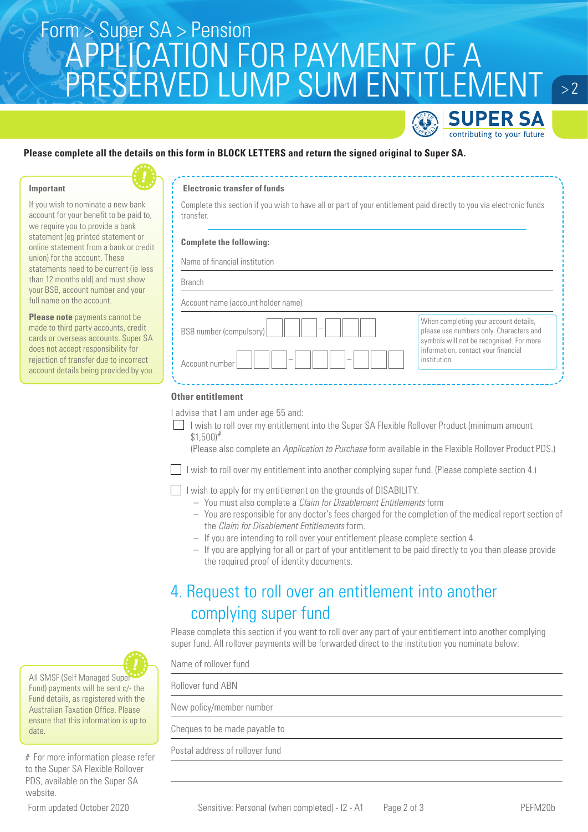## Super SA > Pension<br>CONTINUATION FOR DAVA AFNIT OF A APPLICATION FOR PAYMENT OF A PRESERVED LUMP SUM ENTITLEMENT



 $> 2$ 

### **Please complete all the details on this form in BLOCK LETTERS and return the signed original to Super SA.**

#### **Important**

If you wish to nominate a new bank account for your benefit to be paid to, we require you to provide a bank statement (eg printed statement or online statement from a bank or credit union) for the account. These statements need to be current (ie less than 12 months old) and must show your BSB, account number and your full name on the account.

**Please note** payments cannot be made to third party accounts, credit cards or overseas accounts. Super SA does not accept responsibility for rejection of transfer due to incorrect account details being provided by you.

### **Electronic transfer of funds**

Complete this section if you wish to have all or part of your entitlement paid directly to you via electronic funds transfer.

#### **Complete the following:**

Name of financial institution

BSB number (compulsory)

| Account name (account holder name) |  |  |
|------------------------------------|--|--|
|                                    |  |  |

| When completing your account details,<br>please use numbers only. Characters and |
|----------------------------------------------------------------------------------|
| symbols will not be recognised. For more                                         |
| information, contact your financial<br>institution.                              |

### **Other entitlement**

Account number

I advise that I am under age 55 and:

I wish to roll over my entitlement into the Super SA Flexible Rollover Product (minimum amount  $$1,500$ <sup>#</sup>.

(Please also complete an Application to Purchase form available in the Flexible Rollover Product PDS.)

 $\Box$  I wish to roll over my entitlement into another complying super fund. (Please complete section 4.)

I wish to apply for my entitlement on the grounds of DISABILITY.

- You must also complete a Claim for Disablement Entitlements form
- You are responsible for any doctor's fees charged for the completion of the medical report section of the Claim for Disablement Entitlements form.
- If you are intending to roll over your entitlement please complete section 4.
- If you are applying for all or part of your entitlement to be paid directly to you then please provide the required proof of identity documents.

### 4. Request to roll over an entitlement into another complying super fund

Please complete this section if you want to roll over any part of your entitlement into another complying super fund. All rollover payments will be forwarded direct to the institution you nominate below:

Name of rollover fund Rollover fund ABN New policy/member number Cheques to be made payable to Postal address of rollover fund



Fund) payments will be sent c/- the Fund details, as registered with the Australian Taxation Office. Please ensure that this information is up to date.

# For more information please refer to the Super SA Flexible Rollover PDS, available on the Super SA website.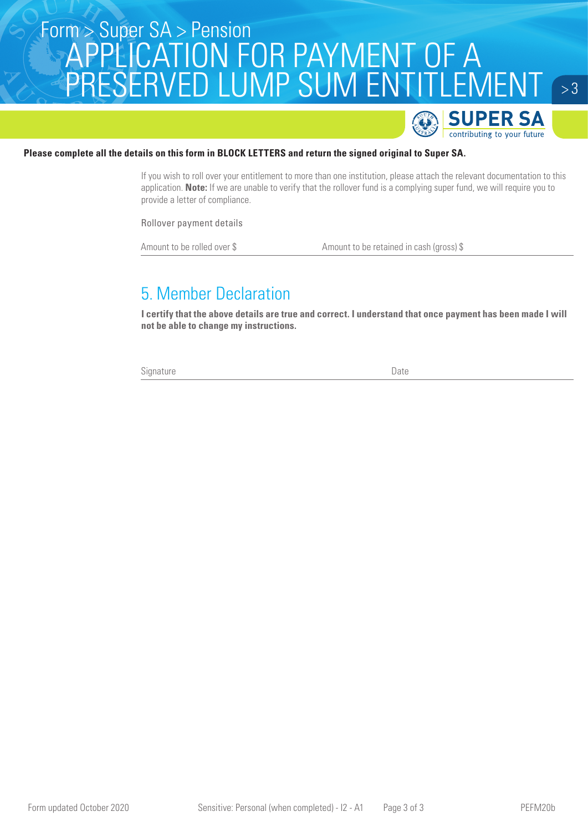## Super SA > Pension<br>CONTINUATION FOR DAVA AFNIT OF A APPLICATION FOR PAYMENT OF A PRESERVED LUMP SUM ENTITLEMENT



 $> 3$ 

### **Please complete all the details on this form in BLOCK LETTERS and return the signed original to Super SA.**

If you wish to roll over your entitlement to more than one institution, please attach the relevant documentation to this application. **Note:** If we are unable to verify that the rollover fund is a complying super fund, we will require you to provide a letter of compliance.

Rollover payment details

Amount to be rolled over \$ Amount to be retained in cash (gross) \$

### 5. Member Declaration

**I certify that the above details are true and correct. I understand that once payment has been made I will not be able to change my instructions.**

Signature Date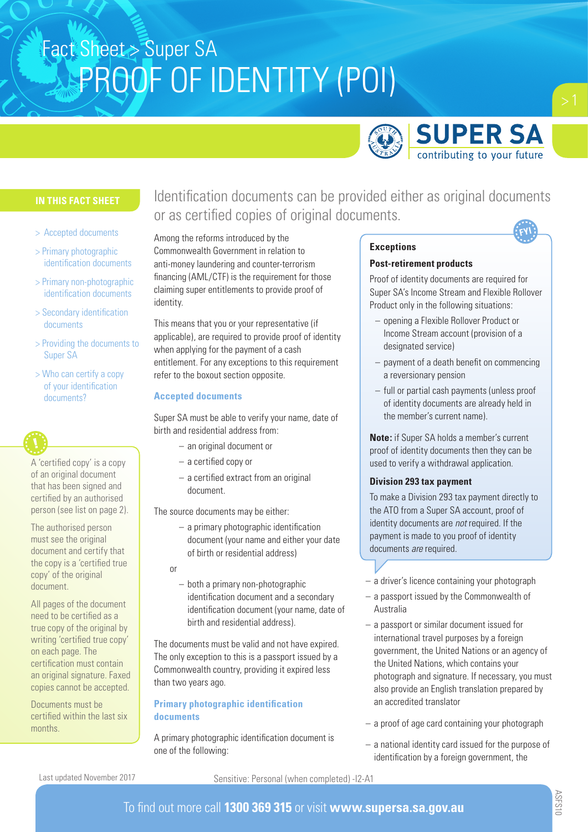

### **IN THIS FACT SHEET**

- > Accepted documents
- > Primary photographic identification documents
- > Primary non-photographic identification documents
- > Secondary identification documents
- > Providing the documents to Super SA
- > Who can certify a copy of your identification documents?

A 'certified copy' is a copy of an original document that has been signed and certified by an authorised person (see list on page 2).

The authorised person must see the original document and certify that the copy is a 'certified true copy' of the original document.

All pages of the document need to be certified as a true copy of the original by writing 'certified true copy' on each page. The certification must contain an original signature. Faxed copies cannot be accepted.

Documents must be certified within the last six months.

Identification documents can be provided either as original documents or as certified copies of original documents.

Among the reforms introduced by the Commonwealth Government in relation to anti-money laundering and counter-terrorism financing (AML/CTF) is the requirement for those claiming super entitlements to provide proof of identity.

This means that you or your representative (if applicable), are required to provide proof of identity when applying for the payment of a cash entitlement. For any exceptions to this requirement refer to the boxout section opposite.

### **Accepted documents**

Super SA must be able to verify your name, date of birth and residential address from:

- an original document or
- a certified copy or
- a certified extract from an original document.

The source documents may be either:

- a primary photographic identification document (your name and either your date of birth or residential address)
- or
	- both a primary non-photographic identification document and a secondary identification document (your name, date of birth and residential address).

The documents must be valid and not have expired. The only exception to this is a passport issued by a Commonwealth country, providing it expired less than two years ago.

### **Primary photographic identification documents**

A primary photographic identification document is one of the following:

### **Exceptions**

#### **Post-retirement products**

Proof of identity documents are required for Super SA's Income Stream and Flexible Rollover Product only in the following situations:

- opening a Flexible Rollover Product or Income Stream account (provision of a designated service)
- payment of a death benefit on commencing a reversionary pension
- full or partial cash payments (unless proof of identity documents are already held in the member's current name).

**Note:** if Super SA holds a member's current proof of identity documents then they can be used to verify a withdrawal application.

### **Division 293 tax payment**

To make a Division 293 tax payment directly to the ATO from a Super SA account, proof of identity documents are *not* required. If the payment is made to you proof of identity documents *are* required.

- a driver's licence containing your photograph
- a passport issued by the Commonwealth of Australia
- a passport or similar document issued for international travel purposes by a foreign government, the United Nations or an agency of the United Nations, which contains your photograph and signature. If necessary, you must also provide an English translation prepared by an accredited translator
- a proof of age card containing your photograph
- a national identity card issued for the purpose of identification by a foreign government, the

Last updated November 2017

Sensitive: Personal (when completed) -I2-A1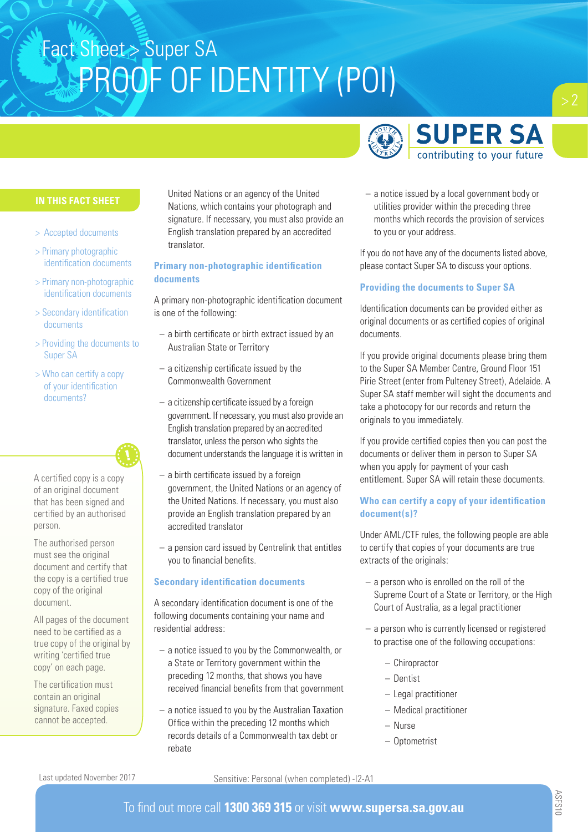

### **IN THIS FACT SHEET**

- > Accepted documents
- > Primary photographic identification documents
- > Primary non-photographic identification documents
- > Secondary identification documents
- > Providing the documents to Super SA
- > Who can certify a copy of your identification documents?

A certified copy is a copy of an original document that has been signed and certified by an authorised person.

The authorised person must see the original document and certify that the copy is a certified true copy of the original document.

All pages of the document need to be certified as a true copy of the original by writing 'certified true copy' on each page.

The certification must contain an original signature. Faxed copies cannot be accepted.

United Nations or an agency of the United Nations, which contains your photograph and signature. If necessary, you must also provide an English translation prepared by an accredited translator.

### **Primary non-photographic identification documents**

A primary non-photographic identification document is one of the following:

- a birth certificate or birth extract issued by an Australian State or Territory
- a citizenship certificate issued by the Commonwealth Government
- a citizenship certificate issued by a foreign government. If necessary, you must also provide an English translation prepared by an accredited translator, unless the person who sights the document understands the language it is written in
- a birth certificate issued by a foreign government, the United Nations or an agency of the United Nations. If necessary, you must also provide an English translation prepared by an accredited translator
- a pension card issued by Centrelink that entitles you to financial benefits.

### **Secondary identification documents**

A secondary identification document is one of the following documents containing your name and residential address:

- a notice issued to you by the Commonwealth, or a State or Territory government within the preceding 12 months, that shows you have received financial benefits from that government
- a notice issued to you by the Australian Taxation Office within the preceding 12 months which records details of a Commonwealth tax debt or rebate

– a notice issued by a local government body or utilities provider within the preceding three months which records the provision of services to you or your address.

If you do not have any of the documents listed above, please contact Super SA to discuss your options.

### **Providing the documents to Super SA**

Identification documents can be provided either as original documents or as certified copies of original documents.

If you provide original documents please bring them to the Super SA Member Centre, Ground Floor 151 Pirie Street (enter from Pulteney Street), Adelaide. A Super SA staff member will sight the documents and take a photocopy for our records and return the originals to you immediately.

If you provide certified copies then you can post the documents or deliver them in person to Super SA when you apply for payment of your cash entitlement. Super SA will retain these documents.

### **Who can certify a copy of your identification document(s)?**

Under AML/CTF rules, the following people are able to certify that copies of your documents are true extracts of the originals:

- a person who is enrolled on the roll of the Supreme Court of a State or Territory, or the High Court of Australia, as a legal practitioner
- a person who is currently licensed or registered to practise one of the following occupations:
	- Chiropractor
	- Dentist
	- Legal practitioner
	- Medical practitioner
	- Nurse
	- Optometrist

Last updated November 2017

Sensitive: Personal (when completed) -I2-A1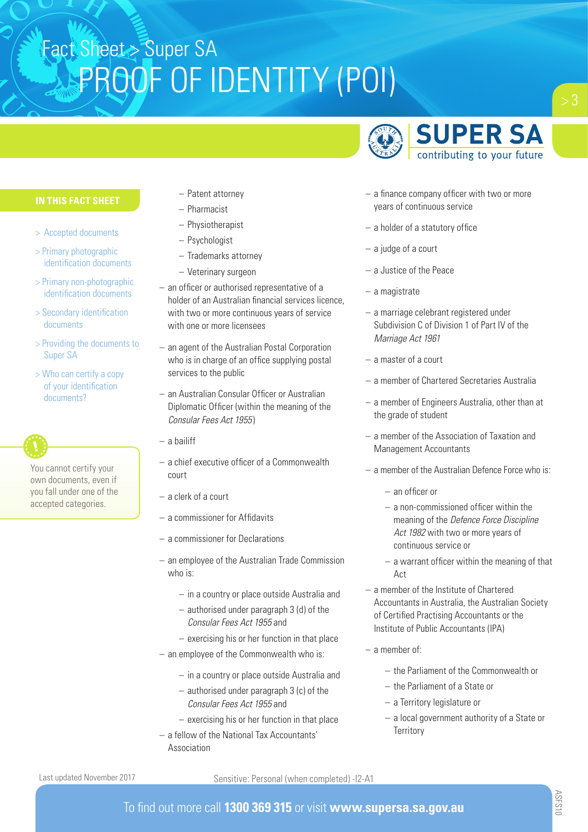

### **IN THIS FACT SHEET**

- > Accepted documents
- > Primary photographic identification documents
- > Primary non-photographic identification documents
- > Secondary identification documents
- > Providing the documents to Super SA
- > Who can certify a copy of your identification documents?

You cannot certify your own documents, even if you fall under one of the accepted categories.

- Patent attorney
- Pharmacist
- Physiotherapist
- Psychologist
- Trademarks attorney
- Veterinary surgeon
- an officer or authorised representative of a holder of an Australian financial services licence, with two or more continuous years of service with one or more licensees
- an agent of the Australian Postal Corporation who is in charge of an office supplying postal services to the public
- an Australian Consular Officer or Australian Diplomatic Officer (within the meaning of the *Consular Fees Act 1955*)
- a bailiff
- a chief executive officer of a Commonwealth court
- a clerk of a court
- a commissioner for Affidavits
- a commissioner for Declarations
- an employee of the Australian Trade Commission who is:
	- in a country or place outside Australia and
	- authorised under paragraph 3 (d) of the *Consular Fees Act 1955* and
	- exercising his or her function in that place
- an employee of the Commonwealth who is:
	- in a country or place outside Australia and
	- authorised under paragraph 3 (c) of the *Consular Fees Act 1955* and
	- exercising his or her function in that place
- a fellow of the National Tax Accountants' Association
- a finance company officer with two or more years of continuous service
- a holder of a statutory office
- a judge of a court
- a Justice of the Peace
- a magistrate
- a marriage celebrant registered under Subdivision C of Division 1 of Part IV of the *Marriage Act 1961*
- a master of a court
- a member of Chartered Secretaries Australia
- a member of Engineers Australia, other than at the grade of student
- a member of the Association of Taxation and Management Accountants
- $-$  a member of the Australian Defence Force who is:
	- an officer or
	- a non-commissioned officer within the meaning of the *Defence Force Discipline Act 1982* with two or more years of continuous service or
	- a warrant officer within the meaning of that Act
- a member of the Institute of Chartered Accountants in Australia, the Australian Society of Certified Practising Accountants or the Institute of Public Accountants (IPA)
- a member of:
	- the Parliament of the Commonwealth or
	- the Parliament of a State or
	- a Territory legislature or
	- a local government authority of a State or **Territory**

### Sensitive: Personal (when completed) -I2-A1